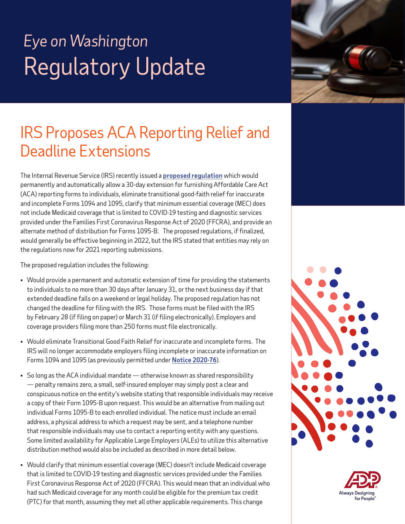

### IRS Proposes ACA Reporting Relief and Deadline Extensions

The Internal Revenue Service (IRS) recently issued a **[proposed regulation](https://www.irs.gov/pub/irs-drop/reg-109128-21.pdf)** which would permanently and automatically allow a 30-day extension for furnishing Affordable Care Act (ACA) reporting forms to individuals, eliminate transitional good-faith relief for inaccurate and incomplete Forms 1094 and 1095, clarify that minimum essential coverage (MEC) does not include Medicaid coverage that is limited to COVID-19 testing and diagnostic services provided under the Families First Coronavirus Response Act of 2020 (FFCRA), and provide an alternate method of distribution for Forms 1095-B. The proposed regulations, if finalized, would generally be effective beginning in 2022, but the IRS stated that entities may rely on the regulations now for 2021 reporting submissions.

The proposed regulation includes the following:

- Would provide a permanent and automatic extension of time for providing the statements to individuals to no more than 30 days after January 31, or the next business day if that extended deadline falls on a weekend or legal holiday. The proposed regulation has not changed the deadline for filing with the IRS. Those forms must be filed with the IRS by February 28 (if filing on paper) or March 31 (if filing electronically). Employers and coverage providers filing more than 250 forms must file electronically.
- Would eliminate Transitional Good Faith Relief for inaccurate and incomplete forms. The IRS will no longer accommodate employers filing incomplete or inaccurate information on Forms 1094 and 1095 (as previously permitted under **[Notice 2020-76](https://www.irs.gov/pub/irs-drop/n-20-76.pdf)**).
- So long as the ACA individual mandate otherwise known as shared responsibility — penalty remains zero, a small, self-insured employer may simply post a clear and conspicuous notice on the entity's website stating that responsible individuals may receive a copy of their Form 1095-B upon request. This would be an alternative from mailing out individual Forms 1095-B to each enrolled individual. The notice must include an email address, a physical address to which a request may be sent, and a telephone number that responsible individuals may use to contact a reporting entity with any questions. Some limited availability for Applicable Large Employers (ALEs) to utilize this alternative distribution method would also be included as described in more detail below.
- Would clarify that minimum essential coverage (MEC) doesn't include Medicaid coverage that is limited to COVID-19 testing and diagnostic services provided under the Families First Coronavirus Response Act of 2020 (FFCRA). This would mean that an individual who had such Medicaid coverage for any month could be eligible for the premium tax credit (PTC) for that month, assuming they met all other applicable requirements. This change



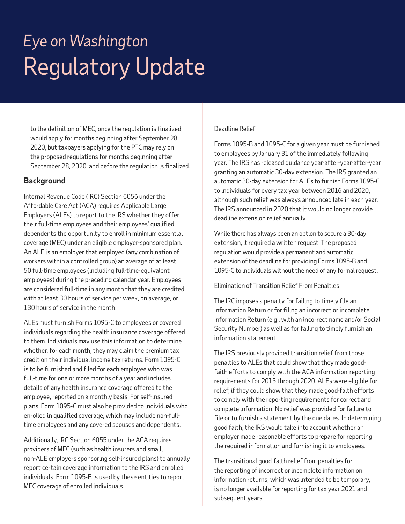to the definition of MEC, once the regulation is finalized, would apply for months beginning after September 28, 2020, but taxpayers applying for the PTC may rely on the proposed regulations for months beginning after September 28, 2020, and before the regulation is finalized.

### **Background**

Internal Revenue Code (IRC) Section 6056 under the Affordable Care Act (ACA) requires Applicable Large Employers (ALEs) to report to the IRS whether they offer their full-time employees and their employees' qualified dependents the opportunity to enroll in minimum essential coverage (MEC) under an eligible employer-sponsored plan. An ALE is an employer that employed (any combination of workers within a controlled group) an average of at least 50 full-time employees (including full-time-equivalent employees) during the preceding calendar year. Employees are considered full-time in any month that they are credited with at least 30 hours of service per week, on average, or 130 hours of service in the month.

ALEs must furnish Forms 1095-C to employees or covered individuals regarding the health insurance coverage offered to them. Individuals may use this information to determine whether, for each month, they may claim the premium tax credit on their individual income tax returns. Form 1095-C is to be furnished and filed for each employee who was full-time for one or more months of a year and includes details of any health insurance coverage offered to the employee, reported on a monthly basis. For self-insured plans, Form 1095-C must also be provided to individuals who enrolled in qualified coverage, which may include non-fulltime employees and any covered spouses and dependents.

Additionally, IRC Section 6055 under the ACA requires providers of MEC (such as health insurers and small, non-ALE employers sponsoring self-insured plans) to annually report certain coverage information to the IRS and enrolled individuals. Form 1095-B is used by these entities to report MEC coverage of enrolled individuals.

#### Deadline Relief

Forms 1095-B and 1095-C for a given year must be furnished to employees by January 31 of the immediately following year. The IRS has released guidance year-after-year-after-year granting an automatic 30-day extension. The IRS granted an automatic 30-day extension for ALEs to furnish Forms 1095-C to individuals for every tax year between 2016 and 2020, although such relief was always announced late in each year. The IRS announced in 2020 that it would no longer provide deadline extension relief annually.

While there has always been an option to secure a 30-day extension, it required a written request. The proposed regulation would provide a permanent and automatic extension of the deadline for providing Forms 1095-B and 1095-C to individuals without the need of any formal request.

#### Elimination of Transition Relief From Penalties

The IRC imposes a penalty for failing to timely file an Information Return or for filing an incorrect or incomplete Information Return (e.g., with an incorrect name and/or Social Security Number) as well as for failing to timely furnish an information statement.

The IRS previously provided transition relief from those penalties to ALEs that could show that they made goodfaith efforts to comply with the ACA information-reporting requirements for 2015 through 2020. ALEs were eligible for relief, if they could show that they made good-faith efforts to comply with the reporting requirements for correct and complete information. No relief was provided for failure to file or to furnish a statement by the due dates. In determining good faith, the IRS would take into account whether an employer made reasonable efforts to prepare for reporting the required information and furnishing it to employees.

The transitional good-faith relief from penalties for the reporting of incorrect or incomplete information on information returns, which was intended to be temporary, is no longer available for reporting for tax year 2021 and subsequent years.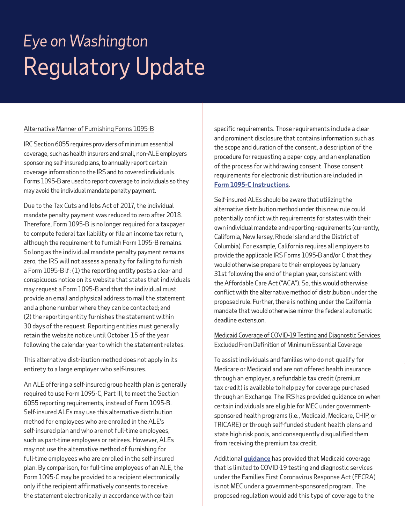#### Alternative Manner of Furnishing Forms 1095-B

IRC Section 6055 requires providers of minimum essential coverage, such as health insurers and small, non-ALE employers sponsoring self-insured plans, to annually report certain coverage information to the IRS and to covered individuals. Forms 1095-B are used to report coverage to individuals so they may avoid the individual mandate penalty payment.

Due to the Tax Cuts and Jobs Act of 2017, the individual mandate penalty payment was reduced to zero after 2018. Therefore, Form 1095-B is no longer required for a taxpayer to compute federal tax liability or file an income tax return, although the requirement to furnish Form 1095-B remains. So long as the individual mandate penalty payment remains zero, the IRS will not assess a penalty for failing to furnish a Form 1095-B if: (1) the reporting entity posts a clear and conspicuous notice on its website that states that individuals may request a Form 1095-B and that the individual must provide an email and physical address to mail the statement and a phone number where they can be contacted; and (2) the reporting entity furnishes the statement within 30 days of the request. Reporting entities must generally retain the website notice until October 15 of the year following the calendar year to which the statement relates.

This alternative distribution method does not apply in its entirety to a large employer who self-insures.

An ALE offering a self-insured group health plan is generally required to use Form 1095-C, Part III, to meet the Section 6055 reporting requirements, instead of Form 1095-B. Self-insured ALEs may use this alternative distribution method for employees who are enrolled in the ALE's self-insured plan and who are not full-time employees, such as part-time employees or retirees. However, ALEs may not use the alternative method of furnishing for full-time employees who are enrolled in the self-insured plan. By comparison, for full-time employees of an ALE, the Form 1095-C may be provided to a recipient electronically only if the recipient affirmatively consents to receive the statement electronically in accordance with certain

specific requirements. Those requirements include a clear and prominent disclosure that contains information such as the scope and duration of the consent, a description of the procedure for requesting a paper copy, and an explanation of the process for withdrawing consent. Those consent requirements for electronic distribution are included in **[Form 1095-C Instructions](https://www.irs.gov/instructions/i109495c)**.

Self-insured ALEs should be aware that utilizing the alternative distribution method under this new rule could potentially conflict with requirements for states with their own individual mandate and reporting requirements (currently, California, New Jersey, Rhode Island and the District of Columbia). For example, California requires all employers to provide the applicable IRS Forms 1095-B and/or C that they would otherwise prepare to their employees by January 31st following the end of the plan year, consistent with the Affordable Care Act ("ACA"). So, this would otherwise conflict with the alternative method of distribution under the proposed rule. Further, there is nothing under the California mandate that would otherwise mirror the federal automatic deadline extension.

#### Medicaid Coverage of COVID-19 Testing and Diagnostic Services Excluded From Definition of Minimum Essential Coverage

To assist individuals and families who do not qualify for Medicare or Medicaid and are not offered health insurance through an employer, a refundable tax credit (premium tax credit) is available to help pay for coverage purchased through an Exchange. The IRS has provided guidance on when certain individuals are eligible for MEC under governmentsponsored health programs (i.e., Medicaid, Medicare, CHIP, or TRICARE) or through self-funded student health plans and state high risk pools, and consequently disqualified them from receiving the premium tax credit.

Additional **[guidance](https://www.irs.gov/pub/irs-drop/n-20-66.pdf)** has provided that Medicaid coverage that is limited to COVID-19 testing and diagnostic services under the Families First Coronavirus Response Act (FFCRA) is not MEC under a government-sponsored program. The proposed regulation would add this type of coverage to the